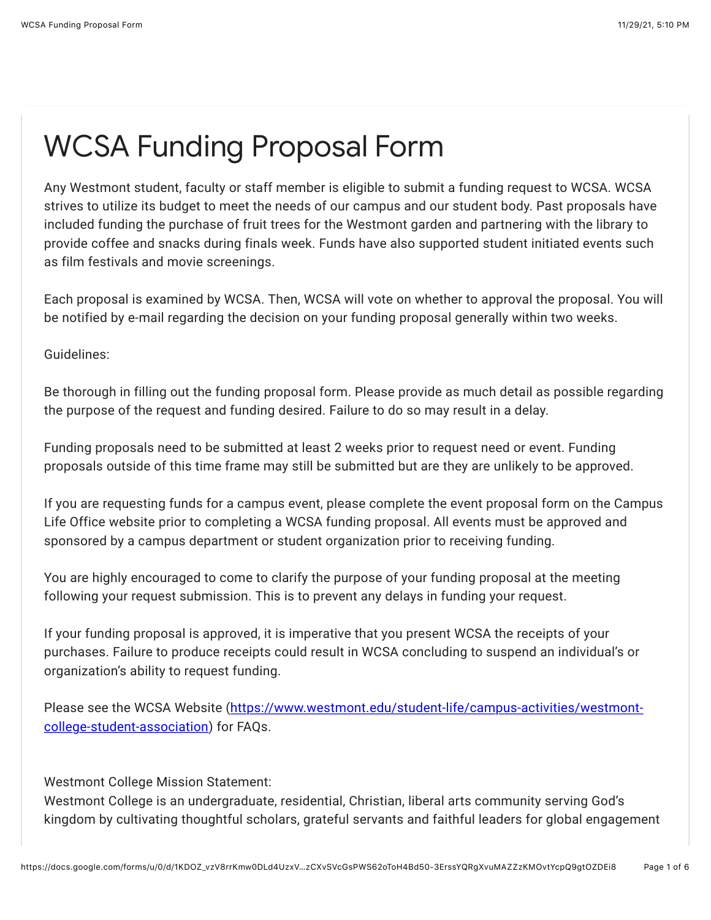## WCSA Funding Proposal Form

Any Westmont student, faculty or staff member is eligible to submit a funding request to WCSA. WCSA strives to utilize its budget to meet the needs of our campus and our student body. Past proposals have included funding the purchase of fruit trees for the Westmont garden and partnering with the library to provide coffee and snacks during finals week. Funds have also supported student initiated events such as film festivals and movie screenings.

Each proposal is examined by WCSA. Then, WCSA will vote on whether to approval the proposal. You will be notified by e-mail regarding the decision on your funding proposal generally within two weeks.

Guidelines:

Be thorough in filling out the funding proposal form. Please provide as much detail as possible regarding the purpose of the request and funding desired. Failure to do so may result in a delay.

Funding proposals need to be submitted at least 2 weeks prior to request need or event. Funding proposals outside of this time frame may still be submitted but are they are unlikely to be approved.

If you are requesting funds for a campus event, please complete the event proposal form on the Campus Life Office website prior to completing a WCSA funding proposal. All events must be approved and sponsored by a campus department or student organization prior to receiving funding.

You are highly encouraged to come to clarify the purpose of your funding proposal at the meeting following your request submission. This is to prevent any delays in funding your request.

If your funding proposal is approved, it is imperative that you present WCSA the receipts of your purchases. Failure to produce receipts could result in WCSA concluding to suspend an individual's or organization's ability to request funding.

[Please see the WCSA Website \(https://www.westmont.edu/student-life/campus-activities/westmont](https://www.google.com/url?q=https://www.westmont.edu/student-life/campus-activities/westmont-college-student-association&sa=D&source=editors&ust=1638238238667000&usg=AOvVaw2b0aT8UJB77rJl2UhL0-OB)college-student-association) for FAQs.

Westmont College Mission Statement:

Westmont College is an undergraduate, residential, Christian, liberal arts community serving God's kingdom by cultivating thoughtful scholars, grateful servants and faithful leaders for global engagement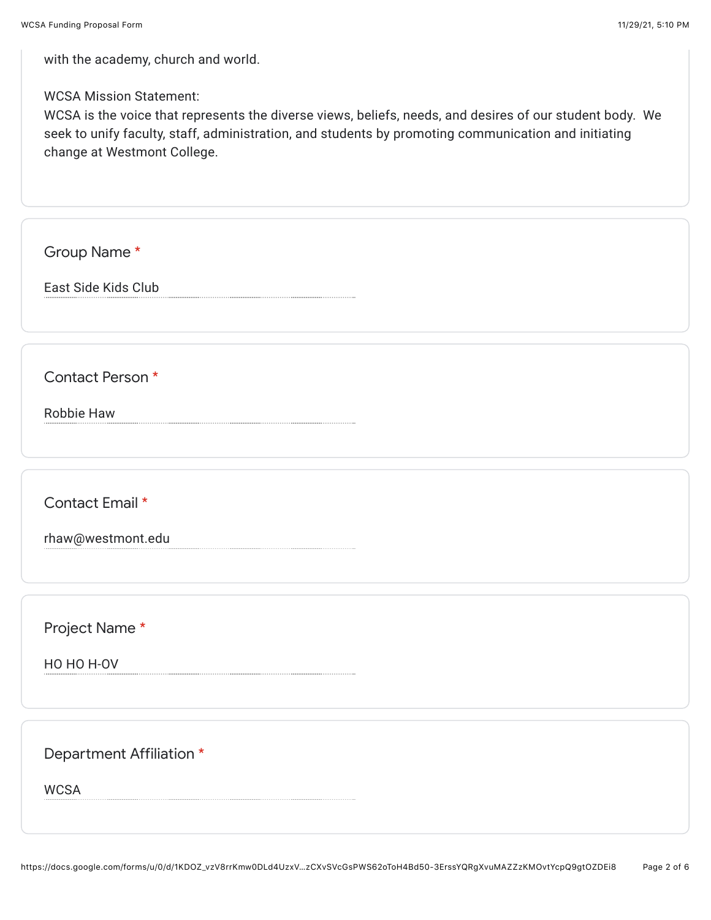with the academy, church and world.

## WCSA Mission Statement:

WCSA is the voice that represents the diverse views, beliefs, needs, and desires of our student body. We seek to unify faculty, staff, administration, and students by promoting communication and initiating change at Westmont College.

Group Name \*

East Side Kids Club

Contact Person \*

Robbie Haw

Contact Email \*

rhaw@westmont.edu

Project Name \*

HO HO H-OV

Department Affiliation \*

WCSA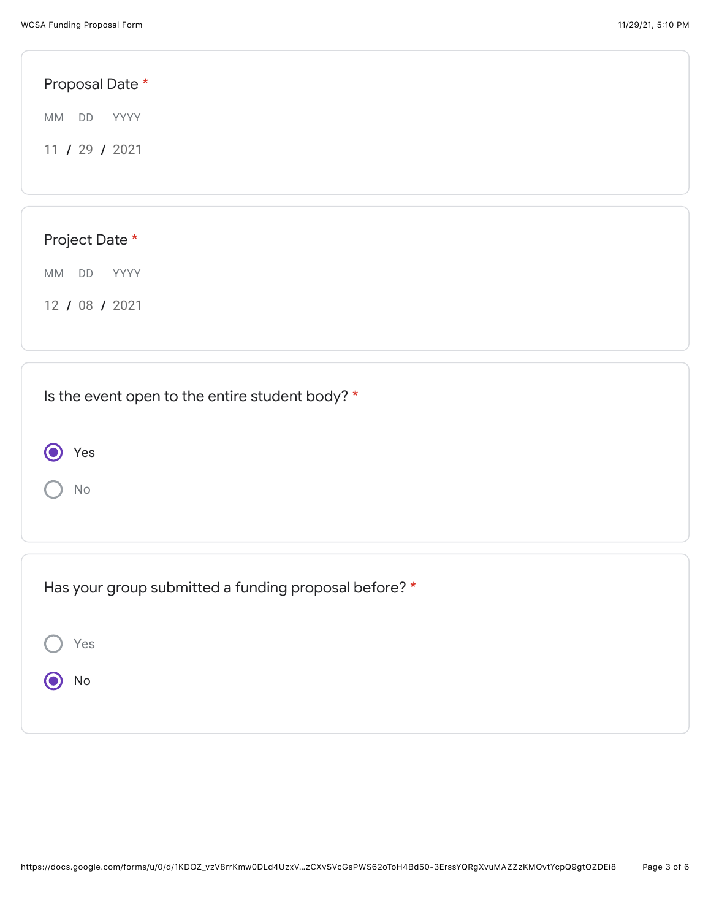| Proposal Date *                                 |  |
|-------------------------------------------------|--|
| MM<br>DD<br>YYYY                                |  |
| 11 / 29 / 2021                                  |  |
|                                                 |  |
|                                                 |  |
| Project Date *                                  |  |
| MM DD YYYY                                      |  |
| 12 / 08 / 2021                                  |  |
|                                                 |  |
|                                                 |  |
| Is the event open to the entire student body? * |  |
|                                                 |  |
| Yes                                             |  |
| No                                              |  |

| Has your group submitted a funding proposal before? * |
|-------------------------------------------------------|
| Yes                                                   |
| No                                                    |
|                                                       |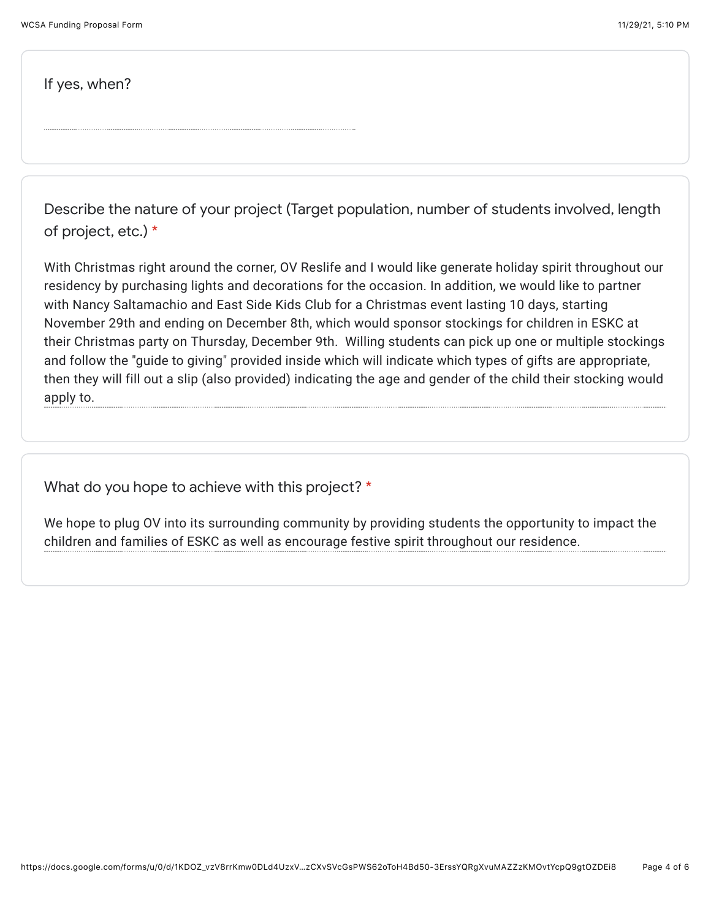If yes, when?

Describe the nature of your project (Target population, number of students involved, length of project, etc.) \*

With Christmas right around the corner, OV Reslife and I would like generate holiday spirit throughout our residency by purchasing lights and decorations for the occasion. In addition, we would like to partner with Nancy Saltamachio and East Side Kids Club for a Christmas event lasting 10 days, starting November 29th and ending on December 8th, which would sponsor stockings for children in ESKC at their Christmas party on Thursday, December 9th. Willing students can pick up one or multiple stockings and follow the "guide to giving" provided inside which will indicate which types of gifts are appropriate, then they will fill out a slip (also provided) indicating the age and gender of the child their stocking would apply to.

What do you hope to achieve with this project? \*

We hope to plug OV into its surrounding community by providing students the opportunity to impact the children and families of ESKC as well as encourage festive spirit throughout our residence.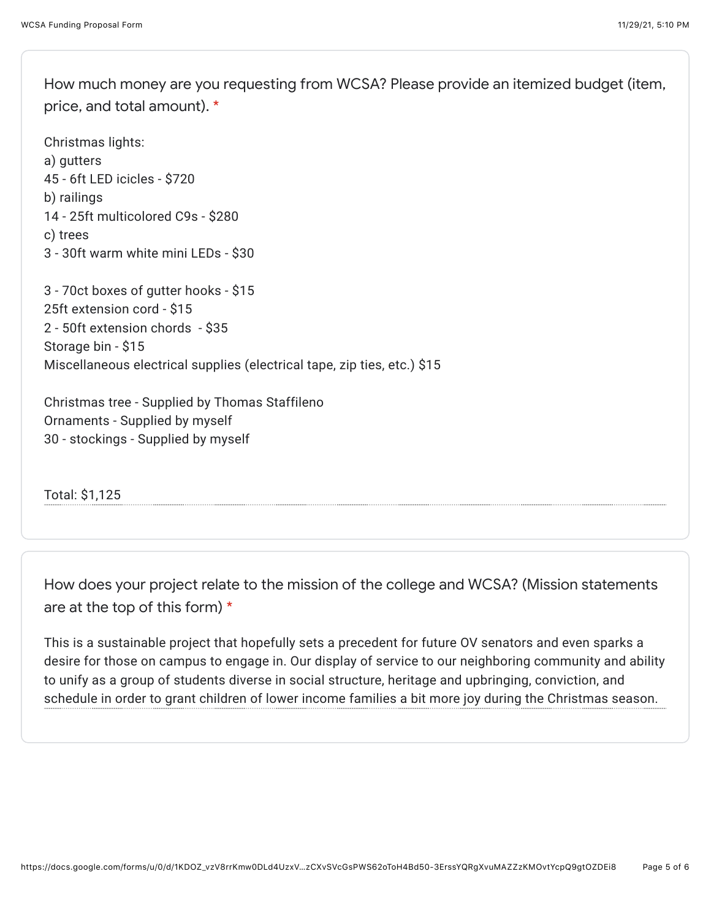How much money are you requesting from WCSA? Please provide an itemized budget (item, price, and total amount). \*

Christmas lights: a) gutters 45 - 6ft LED icicles - \$720 b) railings 14 - 25ft multicolored C9s - \$280 c) trees 3 - 30ft warm white mini LEDs - \$30

3 - 70ct boxes of gutter hooks - \$15 25ft extension cord - \$15 2 - 50ft extension chords - \$35 Storage bin - \$15 Miscellaneous electrical supplies (electrical tape, zip ties, etc.) \$15

Christmas tree - Supplied by Thomas Staffileno Ornaments - Supplied by myself 30 - stockings - Supplied by myself

Total: \$1,125

How does your project relate to the mission of the college and WCSA? (Mission statements are at the top of this form) \*

This is a sustainable project that hopefully sets a precedent for future OV senators and even sparks a desire for those on campus to engage in. Our display of service to our neighboring community and ability to unify as a group of students diverse in social structure, heritage and upbringing, conviction, and schedule in order to grant children of lower income families a bit more joy during the Christmas season.